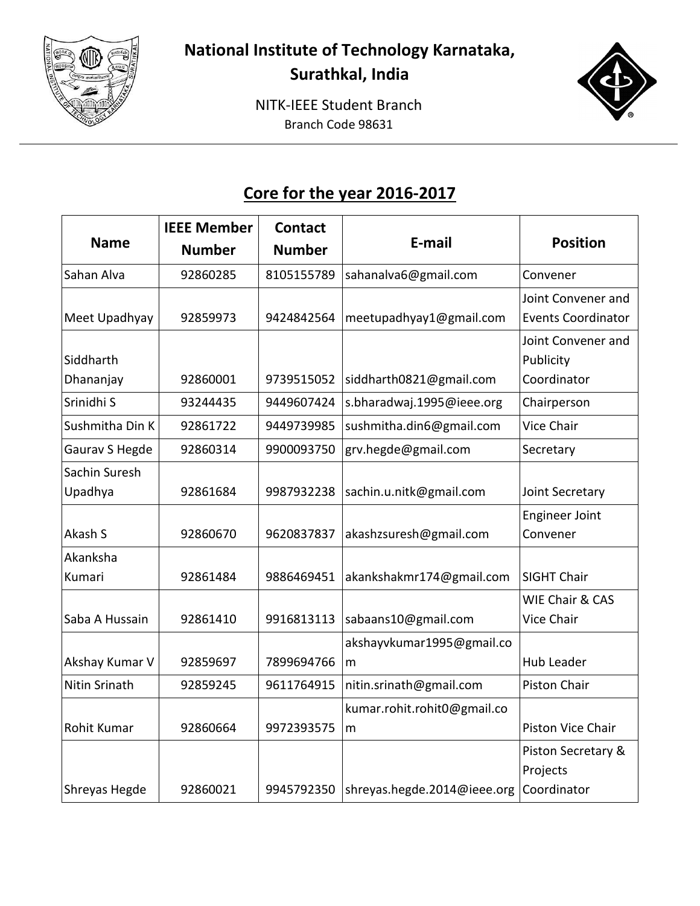

**Surathkal, India**

NITK-IEEE Student Branch Branch Code 98631



## **Core for the year 2016-2017**

|                 | <b>IEEE Member</b> | <b>Contact</b> |                             |                            |
|-----------------|--------------------|----------------|-----------------------------|----------------------------|
| <b>Name</b>     | <b>Number</b>      | <b>Number</b>  | E-mail                      | <b>Position</b>            |
| Sahan Alva      | 92860285           | 8105155789     | sahanalva6@gmail.com        | Convener                   |
|                 |                    |                |                             | Joint Convener and         |
| Meet Upadhyay   | 92859973           | 9424842564     | meetupadhyay1@gmail.com     | <b>Events Coordinator</b>  |
|                 |                    |                |                             | Joint Convener and         |
| Siddharth       |                    |                |                             | Publicity                  |
| Dhananjay       | 92860001           | 9739515052     | siddharth0821@gmail.com     | Coordinator                |
| Srinidhi S      | 93244435           | 9449607424     | s.bharadwaj.1995@ieee.org   | Chairperson                |
| Sushmitha Din K | 92861722           | 9449739985     | sushmitha.din6@gmail.com    | <b>Vice Chair</b>          |
| Gaurav S Hegde  | 92860314           | 9900093750     | grv.hegde@gmail.com         | Secretary                  |
| Sachin Suresh   |                    |                |                             |                            |
| Upadhya         | 92861684           | 9987932238     | sachin.u.nitk@gmail.com     | Joint Secretary            |
|                 |                    |                |                             | <b>Engineer Joint</b>      |
| Akash S         | 92860670           | 9620837837     | akashzsuresh@gmail.com      | Convener                   |
| Akanksha        |                    |                |                             |                            |
| Kumari          | 92861484           | 9886469451     | akankshakmr174@gmail.com    | <b>SIGHT Chair</b>         |
|                 |                    |                |                             | <b>WIE Chair &amp; CAS</b> |
| Saba A Hussain  | 92861410           | 9916813113     | sabaans10@gmail.com         | Vice Chair                 |
|                 |                    |                | akshayvkumar1995@gmail.co   |                            |
| Akshay Kumar V  | 92859697           | 7899694766     | m                           | Hub Leader                 |
| Nitin Srinath   | 92859245           | 9611764915     | nitin.srinath@gmail.com     | Piston Chair               |
|                 |                    |                | kumar.rohit.rohit0@gmail.co |                            |
| Rohit Kumar     | 92860664           | 9972393575     | m                           | <b>Piston Vice Chair</b>   |
|                 |                    |                |                             | Piston Secretary &         |
|                 |                    |                |                             | Projects                   |
| Shreyas Hegde   | 92860021           | 9945792350     | shreyas.hegde.2014@ieee.org | Coordinator                |